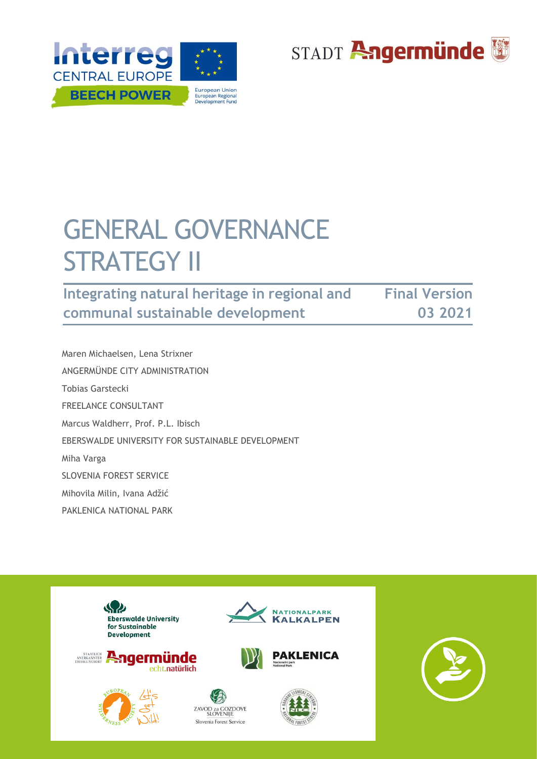



# GENERAL GOVERNANCE **STRATEGY II**

**Integrating natural heritage in regional and communal sustainable development Final Version 03 2021**

 Maren Michaelsen, Lena Strixner ANGERMÜNDE CITY ADMINISTRATION Tobias Garstecki FREELANCE CONSULTANT Marcus Waldherr, Prof. P.L. Ibisch EBERSWALDE UNIVERSITY FOR SUSTAINABLE DEVELOPMENT Miha Varga SLOVENIA FOREST SERVICE Mihovila Milin, Ivana Adžić PAKLENICA NATIONAL PARK



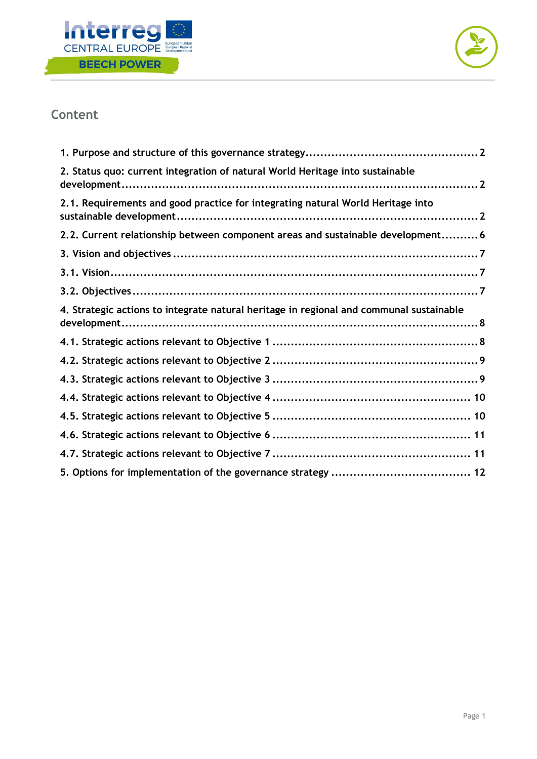



# **Content**

| 2. Status quo: current integration of natural World Heritage into sustainable           |
|-----------------------------------------------------------------------------------------|
| 2.1. Requirements and good practice for integrating natural World Heritage into         |
| 2.2. Current relationship between component areas and sustainable development 6         |
|                                                                                         |
|                                                                                         |
|                                                                                         |
| 4. Strategic actions to integrate natural heritage in regional and communal sustainable |
|                                                                                         |
|                                                                                         |
|                                                                                         |
|                                                                                         |
|                                                                                         |
|                                                                                         |
|                                                                                         |
|                                                                                         |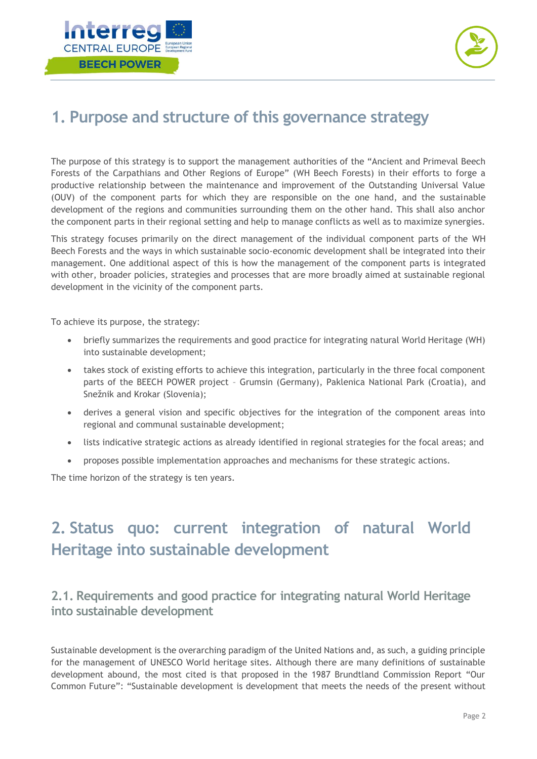



# <span id="page-2-0"></span>**1. Purpose and structure of this governance strategy**

The purpose of this strategy is to support the management authorities of the "Ancient and Primeval Beech Forests of the Carpathians and Other Regions of Europe" (WH Beech Forests) in their efforts to forge a productive relationship between the maintenance and improvement of the Outstanding Universal Value (OUV) of the component parts for which they are responsible on the one hand, and the sustainable development of the regions and communities surrounding them on the other hand. This shall also anchor the component parts in their regional setting and help to manage conflicts as well as to maximize synergies.

This strategy focuses primarily on the direct management of the individual component parts of the WH Beech Forests and the ways in which sustainable socio-economic development shall be integrated into their management. One additional aspect of this is how the management of the component parts is integrated with other, broader policies, strategies and processes that are more broadly aimed at sustainable regional development in the vicinity of the component parts.

To achieve its purpose, the strategy:

- briefly summarizes the requirements and good practice for integrating natural World Heritage (WH) into sustainable development;
- takes stock of existing efforts to achieve this integration, particularly in the three focal component parts of the BEECH POWER project – Grumsin (Germany), Paklenica National Park (Croatia), and Snežnik and Krokar (Slovenia);
- derives a general vision and specific objectives for the integration of the component areas into regional and communal sustainable development;
- lists indicative strategic actions as already identified in regional strategies for the focal areas; and
- proposes possible implementation approaches and mechanisms for these strategic actions.

The time horizon of the strategy is ten years.

# <span id="page-2-1"></span>**2. Status quo: current integration of natural World Heritage into sustainable development**

## <span id="page-2-2"></span>**2.1. Requirements and good practice for integrating natural World Heritage into sustainable development**

Sustainable development is the overarching paradigm of the United Nations and, as such, a guiding principle for the management of UNESCO World heritage sites. Although there are many definitions of sustainable development abound, the most cited is that proposed in the 1987 Brundtland Commission Report "Our Common Future": "Sustainable development is development that meets the needs of the present without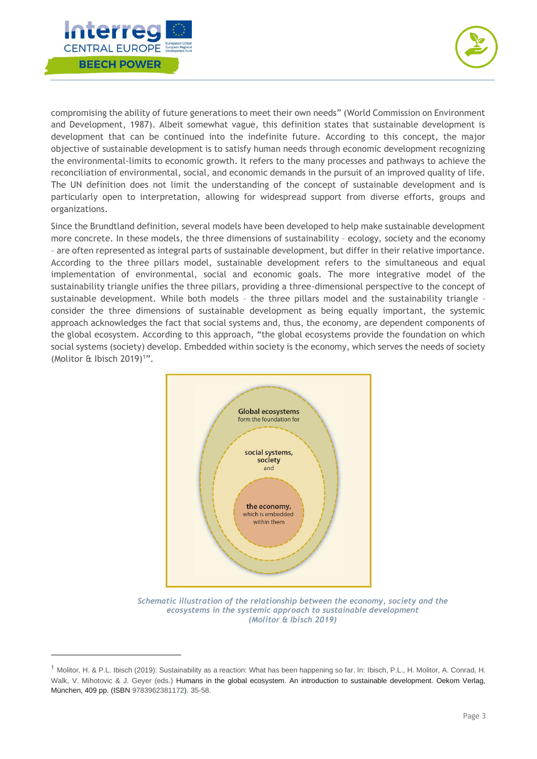



compromising the ability of future generations to meet their own needs" (World Commission on Environment and Development, 1987). Albeit somewhat vague, this definition states that sustainable development is development that can be continued into the indefinite future. According to this concept, the major objective of sustainable development is to satisfy human needs through economic development recognizing the environmental-limits to economic growth. It refers to the many processes and pathways to achieve the reconciliation of environmental, social, and economic demands in the pursuit of an improved quality of life. The UN definition does not limit the understanding of the concept of sustainable development and is particularly open to interpretation, allowing for widespread support from diverse efforts, groups and organizations.

Since the Brundtland definition, several models have been developed to help make sustainable development more concrete. In these models, the three dimensions of sustainability – ecology, society and the economy – are often represented as integral parts of sustainable development, but differ in their relative importance. According to the three pillars model, sustainable development refers to the simultaneous and equal implementation of environmental, social and economic goals. The more integrative model of the sustainability triangle unifies the three pillars, providing a three-dimensional perspective to the concept of sustainable development. While both models – the three pillars model and the sustainability triangle – consider the three dimensions of sustainable development as being equally important, the systemic approach acknowledges the fact that social systems and, thus, the economy, are dependent components of the global ecosystem. According to this approach, "the global ecosystems provide the foundation on which social systems (society) develop. Embedded within society is the economy, which serves the needs of society (Molitor & Ibisch 2019)<sup>1</sup>".



*Schematic illustration of the relationship between the economy, society and the ecosystems in the systemic approach to sustainable development (Molitor & Ibisch 2019)* 

<sup>1</sup> Molitor, H. & P.L. Ibisch (2019): Sustainability as a reaction: What has been happening so far. In: Ibisch, P.L., H. Molitor, A. Conrad, H. Walk, V. Mihotovic & J. Geyer (eds.) Humans in the global ecosystem. An introduction to sustainable development. Oekom Verlag, München, 409 pp. (ISBN 9783962381172). 35-58.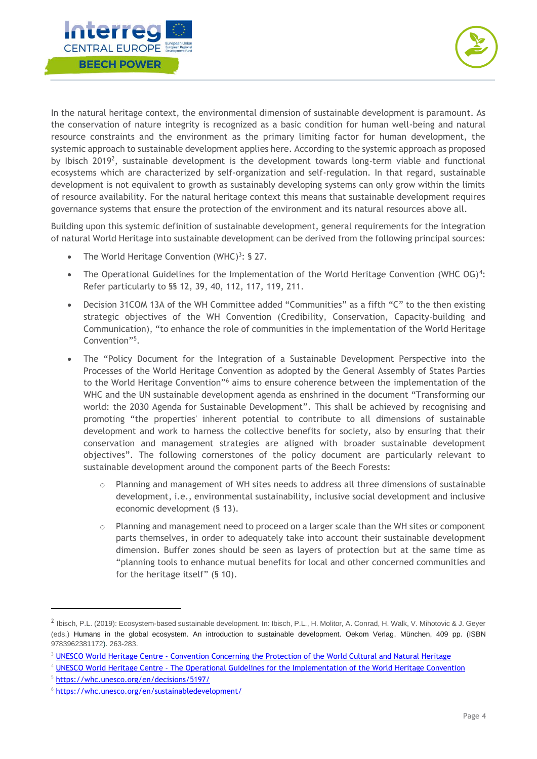



In the natural heritage context, the environmental dimension of sustainable development is paramount. As the conservation of nature integrity is recognized as a basic condition for human well-being and natural resource constraints and the environment as the primary limiting factor for human development, the systemic approach to sustainable development applies here. According to the systemic approach as proposed by Ibisch 2019<sup>2</sup>, sustainable development is the development towards long-term viable and functional ecosystems which are characterized by self-organization and self-regulation. In that regard, sustainable development is not equivalent to growth as sustainably developing systems can only grow within the limits of resource availability. For the natural heritage context this means that sustainable development requires governance systems that ensure the protection of the environment and its natural resources above all.

Building upon this systemic definition of sustainable development, general requirements for the integration of natural World Heritage into sustainable development can be derived from the following principal sources:

- The World Heritage Convention (WHC)<sup>3</sup>: § 27.
- The Operational Guidelines for the Implementation of the World Heritage Convention (WHC OG)<sup>4</sup>: Refer particularly to §§ 12, 39, 40, 112, 117, 119, 211.
- Decision 31COM 13A of the WH Committee added "Communities" as a fifth "C" to the then existing strategic objectives of the WH Convention (Credibility, Conservation, Capacity-building and Communication), "to enhance the role of communities in the implementation of the World Heritage Convention" 5 .
- The "Policy Document for the Integration of a Sustainable Development Perspective into the Processes of the World Heritage Convention as adopted by the General Assembly of States Parties to the World Heritage Convention"<sup>6</sup> aims to ensure coherence between the implementation of the WHC and the UN sustainable development agenda as enshrined in the document "Transforming our world: the 2030 Agenda for Sustainable Development". This shall be achieved by recognising and promoting "the properties' inherent potential to contribute to all dimensions of sustainable development and work to harness the collective benefits for society, also by ensuring that their conservation and management strategies are aligned with broader sustainable development objectives". The following cornerstones of the policy document are particularly relevant to sustainable development around the component parts of the Beech Forests:
	- o Planning and management of WH sites needs to address all three dimensions of sustainable development, i.e., environmental sustainability, inclusive social development and inclusive economic development (§ 13).
	- $\circ$  Planning and management need to proceed on a larger scale than the WH sites or component parts themselves, in order to adequately take into account their sustainable development dimension. Buffer zones should be seen as layers of protection but at the same time as "planning tools to enhance mutual benefits for local and other concerned communities and for the heritage itself" (§ 10).

<sup>&</sup>lt;sup>2</sup> Ibisch, P.L. (2019): Ecosystem-based sustainable development. In: Ibisch, P.L., H. Molitor, A. Conrad, H. Walk, V. Mihotovic & J. Geyer (eds.) Humans in the global ecosystem. An introduction to sustainable development. Oekom Verlag, München, 409 pp. (ISBN 9783962381172). 263-283.

<sup>&</sup>lt;sup>3</sup> UNESCO World Heritage Centre - [Convention Concerning the Protection of the World Cultural and Natural Heritage](https://whc.unesco.org/en/conventiontext/)

<sup>4</sup> UNESCO World Heritage Centre - [The Operational Guidelines for the Implementation of the World Heritage Convention](https://whc.unesco.org/en/guidelines/)

<sup>5</sup> <https://whc.unesco.org/en/decisions/5197/>

<sup>6</sup> <https://whc.unesco.org/en/sustainabledevelopment/>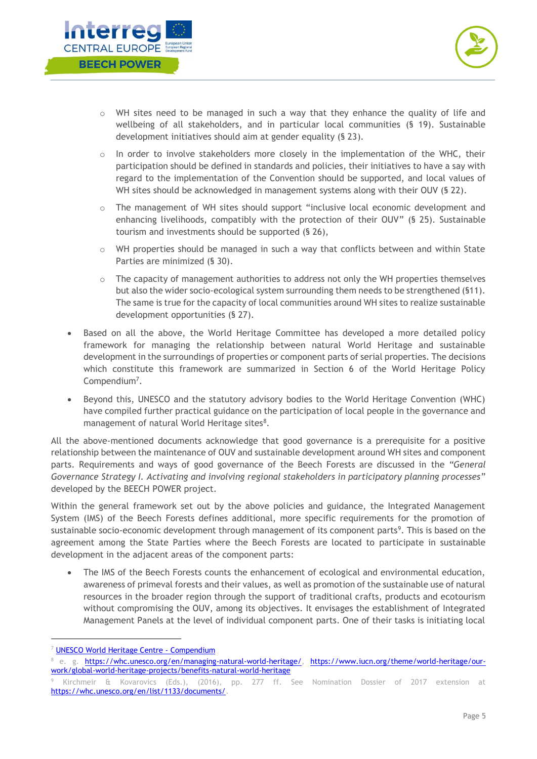



- o WH sites need to be managed in such a way that they enhance the quality of life and wellbeing of all stakeholders, and in particular local communities (§ 19). Sustainable development initiatives should aim at gender equality (§ 23).
- $\circ$  In order to involve stakeholders more closely in the implementation of the WHC, their participation should be defined in standards and policies, their initiatives to have a say with regard to the implementation of the Convention should be supported, and local values of WH sites should be acknowledged in management systems along with their OUV (§ 22).
- o The management of WH sites should support "inclusive local economic development and enhancing livelihoods, compatibly with the protection of their OUV" (§ 25). Sustainable tourism and investments should be supported (§ 26),
- $\circ$  WH properties should be managed in such a way that conflicts between and within State Parties are minimized (§ 30).
- $\circ$  The capacity of management authorities to address not only the WH properties themselves but also the wider socio-ecological system surrounding them needs to be strengthened (§11). The same is true for the capacity of local communities around WH sites to realize sustainable development opportunities (§ 27).
- Based on all the above, the World Heritage Committee has developed a more detailed policy framework for managing the relationship between natural World Heritage and sustainable development in the surroundings of properties or component parts of serial properties. The decisions which constitute this framework are summarized in Section 6 of the World Heritage Policy Compendium<sup>7</sup>.
- Beyond this, UNESCO and the statutory advisory bodies to the World Heritage Convention (WHC) have compiled further practical guidance on the participation of local people in the governance and management of natural World Heritage sites<sup>8</sup>.

All the above-mentioned documents acknowledge that good governance is a prerequisite for a positive relationship between the maintenance of OUV and sustainable development around WH sites and component parts. Requirements and ways of good governance of the Beech Forests are discussed in the *"General Governance Strategy I. Activating and involving regional stakeholders in participatory planning processes*" developed by the BEECH POWER project.

Within the general framework set out by the above policies and guidance, the Integrated Management System (IMS) of the Beech Forests defines additional, more specific requirements for the promotion of sustainable socio-economic development through management of its component parts<sup>9</sup>. This is based on the agreement among the State Parties where the Beech Forests are located to participate in sustainable development in the adjacent areas of the component parts:

• The IMS of the Beech Forests counts the enhancement of ecological and environmental education, awareness of primeval forests and their values, as well as promotion of the sustainable use of natural resources in the broader region through the support of traditional crafts, products and ecotourism without compromising the OUV, among its objectives. It envisages the establishment of Integrated Management Panels at the level of individual component parts. One of their tasks is initiating local

<sup>7</sup> [UNESCO World Heritage Centre -](https://whc.unesco.org/en/compendium/?action=theme&id_theme=6) Compendium

<sup>8</sup> e. g. [https://whc.unesco.org/en/managing-natural-world-heritage/,](https://whc.unesco.org/en/managing-natural-world-heritage/) [https://www.iucn.org/theme/world-heritage/our](https://www.iucn.org/theme/world-heritage/our-work/global-world-heritage-projects/benefits-natural-world-heritage)[work/global-world-heritage-projects/benefits-natural-world-heritage](https://www.iucn.org/theme/world-heritage/our-work/global-world-heritage-projects/benefits-natural-world-heritage)

<sup>9</sup> Kirchmeir & Kovarovics (Eds.), (2016), pp. 277 ff. See Nomination Dossier of 2017 extension at [https://whc.unesco.org/en/list/1133/documents/.](https://whc.unesco.org/en/list/1133/documents/)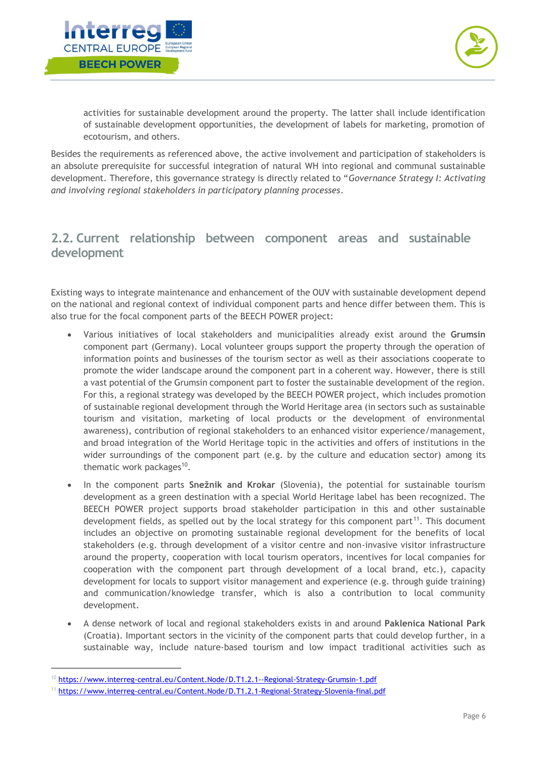



activities for sustainable development around the property. The latter shall include identification of sustainable development opportunities, the development of labels for marketing, promotion of ecotourism, and others.

Besides the requirements as referenced above, the active involvement and participation of stakeholders is an absolute prerequisite for successful integration of natural WH into regional and communal sustainable development. Therefore, this governance strategy is directly related to "*Governance Strategy I: Activating and involving regional stakeholders in participatory planning processes*.

# <span id="page-6-0"></span>**2.2. Current relationship between component areas and sustainable development**

Existing ways to integrate maintenance and enhancement of the OUV with sustainable development depend on the national and regional context of individual component parts and hence differ between them. This is also true for the focal component parts of the BEECH POWER project:

- Various initiatives of local stakeholders and municipalities already exist around the **Grumsin**  component part (Germany). Local volunteer groups support the property through the operation of information points and businesses of the tourism sector as well as their associations cooperate to promote the wider landscape around the component part in a coherent way. However, there is still a vast potential of the Grumsin component part to foster the sustainable development of the region. For this, a regional strategy was developed by the BEECH POWER project, which includes promotion of sustainable regional development through the World Heritage area (in sectors such as sustainable tourism and visitation, marketing of local products or the development of environmental awareness), contribution of regional stakeholders to an enhanced visitor experience/management, and broad integration of the World Heritage topic in the activities and offers of institutions in the wider surroundings of the component part (e.g. by the culture and education sector) among its thematic work packages<sup>10</sup>.
- In the component parts **Snežnik and Krokar** (Slovenia), the potential for sustainable tourism development as a green destination with a special World Heritage label has been recognized. The BEECH POWER project supports broad stakeholder participation in this and other sustainable development fields, as spelled out by the local strategy for this component part<sup>11</sup>. This document includes an objective on promoting sustainable regional development for the benefits of local stakeholders (e.g. through development of a visitor centre and non-invasive visitor infrastructure around the property, cooperation with local tourism operators, incentives for local companies for cooperation with the component part through development of a local brand, etc.), capacity development for locals to support visitor management and experience (e.g. through guide training) and communication/knowledge transfer, which is also a contribution to local community development.
- A dense network of local and regional stakeholders exists in and around **Paklenica National Park** (Croatia). Important sectors in the vicinity of the component parts that could develop further, in a sustainable way, include nature-based tourism and low impact traditional activities such as

<sup>10</sup> <https://www.interreg-central.eu/Content.Node/D.T1.2.1--Regional-Strategy-Grumsin-1.pdf>

<sup>11</sup> <https://www.interreg-central.eu/Content.Node/D.T1.2.1-Regional-Strategy-Slovenia-final.pdf>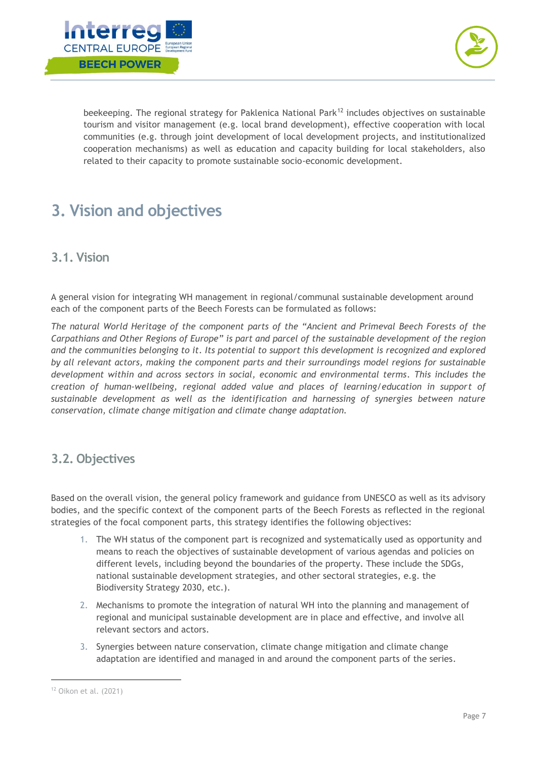



beekeeping. The regional strategy for Paklenica National Park<sup>12</sup> includes objectives on sustainable tourism and visitor management (e.g. local brand development), effective cooperation with local communities (e.g. through joint development of local development projects, and institutionalized cooperation mechanisms) as well as education and capacity building for local stakeholders, also related to their capacity to promote sustainable socio-economic development.

# <span id="page-7-0"></span>**3. Vision and objectives**

# <span id="page-7-1"></span>**3.1. Vision**

A general vision for integrating WH management in regional/communal sustainable development around each of the component parts of the Beech Forests can be formulated as follows:

The natural World Heritage of the component parts of the "Ancient and Primeval Beech Forests of the *Carpathians and Other Regions of Europe" is part and parcel of the sustainable development of the region and the communities belonging to it. Its potential to support this development is recognized and explored by all relevant actors, making the component parts and their surroundings model regions for sustainable development within and across sectors in social, economic and environmental terms. This includes the creation of human-wellbeing, regional added value and places of learning/education in support of sustainable development as well as the identification and harnessing of synergies between nature conservation, climate change mitigation and climate change adaptation.*

## <span id="page-7-2"></span>**3.2. Objectives**

Based on the overall vision, the general policy framework and guidance from UNESCO as well as its advisory bodies, and the specific context of the component parts of the Beech Forests as reflected in the regional strategies of the focal component parts, this strategy identifies the following objectives:

- 1. The WH status of the component part is recognized and systematically used as opportunity and means to reach the objectives of sustainable development of various agendas and policies on different levels, including beyond the boundaries of the property. These include the SDGs, national sustainable development strategies, and other sectoral strategies, e.g. the Biodiversity Strategy 2030, etc.).
- 2. Mechanisms to promote the integration of natural WH into the planning and management of regional and municipal sustainable development are in place and effective, and involve all relevant sectors and actors.
- 3. Synergies between nature conservation, climate change mitigation and climate change adaptation are identified and managed in and around the component parts of the series.

<sup>12</sup> Oikon et al. (2021)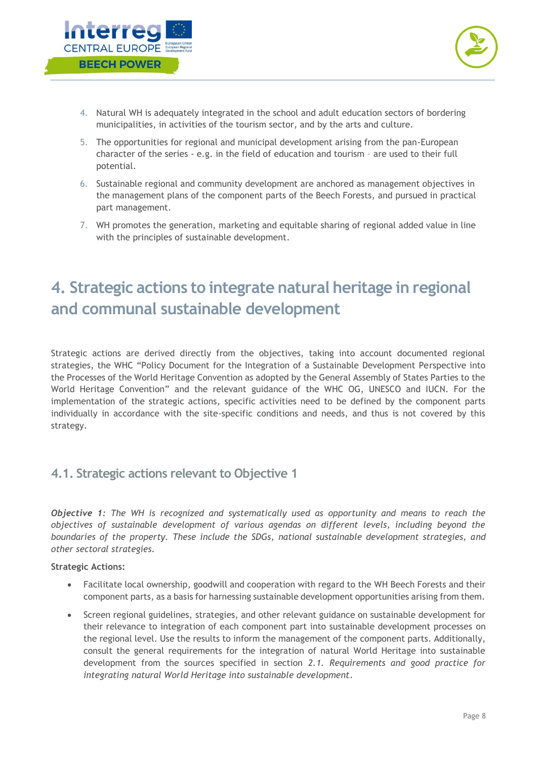



- 4. Natural WH is adequately integrated in the school and adult education sectors of bordering municipalities, in activities of the tourism sector, and by the arts and culture.
- 5. The opportunities for regional and municipal development arising from the pan-European character of the series - e.g. in the field of education and tourism – are used to their full potential.
- 6. Sustainable regional and community development are anchored as management objectives in the management plans of the component parts of the Beech Forests, and pursued in practical part management.
- 7. WH promotes the generation, marketing and equitable sharing of regional added value in line with the principles of sustainable development.

# <span id="page-8-0"></span>**4. Strategic actions to integrate natural heritage in regional and communal sustainable development**

Strategic actions are derived directly from the objectives, taking into account documented regional strategies, the WHC "Policy Document for the Integration of a Sustainable Development Perspective into the Processes of the World Heritage Convention as adopted by the General Assembly of States Parties to the World Heritage Convention" and the relevant guidance of the WHC OG, UNESCO and IUCN. For the implementation of the strategic actions, specific activities need to be defined by the component parts individually in accordance with the site-specific conditions and needs, and thus is not covered by this strategy.

# <span id="page-8-1"></span>**4.1. Strategic actions relevant to Objective 1**

*Objective 1: The WH is recognized and systematically used as opportunity and means to reach the objectives of sustainable development of various agendas on different levels, including beyond the boundaries of the property. These include the SDGs, national sustainable development strategies, and other sectoral strategies.*

- Facilitate local ownership, goodwill and cooperation with regard to the WH Beech Forests and their component parts, as a basis for harnessing sustainable development opportunities arising from them.
- Screen regional guidelines, strategies, and other relevant guidance on sustainable development for their relevance to integration of each component part into sustainable development processes on the regional level. Use the results to inform the management of the component parts. Additionally, consult the general requirements for the integration of natural World Heritage into sustainable development from the sources specified in section *[2.1.](#page-2-2) [Requirements and good practice for](#page-2-2)  [integrating natural World Heritage into sustainable development](#page-2-2)*.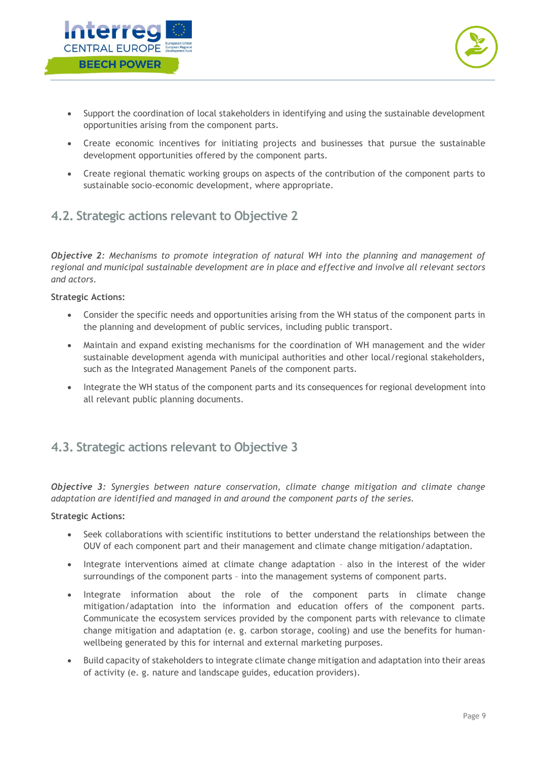

- Support the coordination of local stakeholders in identifying and using the sustainable development opportunities arising from the component parts.
- Create economic incentives for initiating projects and businesses that pursue the sustainable development opportunities offered by the component parts.
- Create regional thematic working groups on aspects of the contribution of the component parts to sustainable socio-economic development, where appropriate.

# <span id="page-9-0"></span>**4.2. Strategic actions relevant to Objective 2**

*Objective 2: Mechanisms to promote integration of natural WH into the planning and management of regional and municipal sustainable development are in place and effective and involve all relevant sectors and actors.*

#### **Strategic Actions:**

- Consider the specific needs and opportunities arising from the WH status of the component parts in the planning and development of public services, including public transport.
- Maintain and expand existing mechanisms for the coordination of WH management and the wider sustainable development agenda with municipal authorities and other local/regional stakeholders, such as the Integrated Management Panels of the component parts.
- Integrate the WH status of the component parts and its consequences for regional development into all relevant public planning documents.

# <span id="page-9-1"></span>**4.3. Strategic actions relevant to Objective 3**

*Objective 3: Synergies between nature conservation, climate change mitigation and climate change adaptation are identified and managed in and around the component parts of the series.*

- Seek collaborations with scientific institutions to better understand the relationships between the OUV of each component part and their management and climate change mitigation/adaptation.
- Integrate interventions aimed at climate change adaptation also in the interest of the wider surroundings of the component parts – into the management systems of component parts.
- Integrate information about the role of the component parts in climate change mitigation/adaptation into the information and education offers of the component parts. Communicate the ecosystem services provided by the component parts with relevance to climate change mitigation and adaptation (e. g. carbon storage, cooling) and use the benefits for humanwellbeing generated by this for internal and external marketing purposes.
- Build capacity of stakeholders to integrate climate change mitigation and adaptation into their areas of activity (e. g. nature and landscape guides, education providers).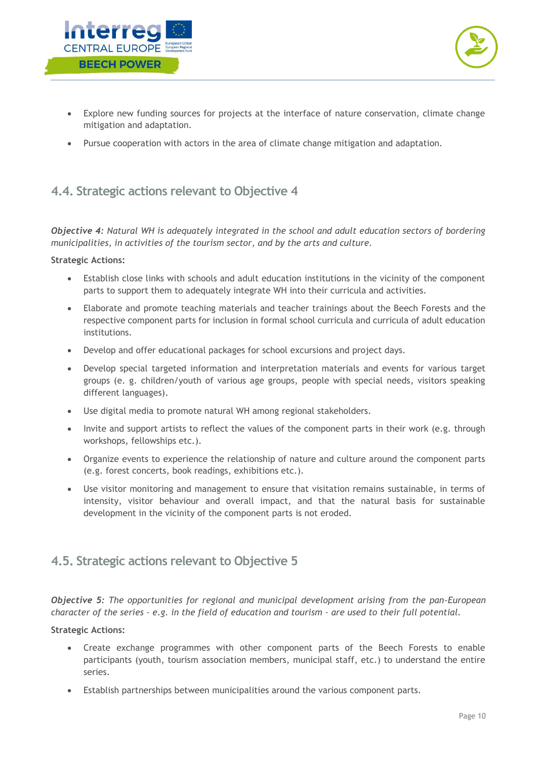



- Explore new funding sources for projects at the interface of nature conservation, climate change mitigation and adaptation.
- Pursue cooperation with actors in the area of climate change mitigation and adaptation.

# <span id="page-10-0"></span>**4.4. Strategic actions relevant to Objective 4**

*Objective 4: Natural WH is adequately integrated in the school and adult education sectors of bordering municipalities, in activities of the tourism sector, and by the arts and culture.*

#### **Strategic Actions:**

- Establish close links with schools and adult education institutions in the vicinity of the component parts to support them to adequately integrate WH into their curricula and activities.
- Elaborate and promote teaching materials and teacher trainings about the Beech Forests and the respective component parts for inclusion in formal school curricula and curricula of adult education institutions.
- Develop and offer educational packages for school excursions and project days.
- Develop special targeted information and interpretation materials and events for various target groups (e. g. children/youth of various age groups, people with special needs, visitors speaking different languages).
- Use digital media to promote natural WH among regional stakeholders.
- Invite and support artists to reflect the values of the component parts in their work (e.g. through workshops, fellowships etc.).
- Organize events to experience the relationship of nature and culture around the component parts (e.g. forest concerts, book readings, exhibitions etc.).
- Use visitor monitoring and management to ensure that visitation remains sustainable, in terms of intensity, visitor behaviour and overall impact, and that the natural basis for sustainable development in the vicinity of the component parts is not eroded.

## <span id="page-10-1"></span>**4.5. Strategic actions relevant to Objective 5**

*Objective 5: The opportunities for regional and municipal development arising from the pan-European character of the series – e.g. in the field of education and tourism – are used to their full potential.*

- Create exchange programmes with other component parts of the Beech Forests to enable participants (youth, tourism association members, municipal staff, etc.) to understand the entire series.
- Establish partnerships between municipalities around the various component parts.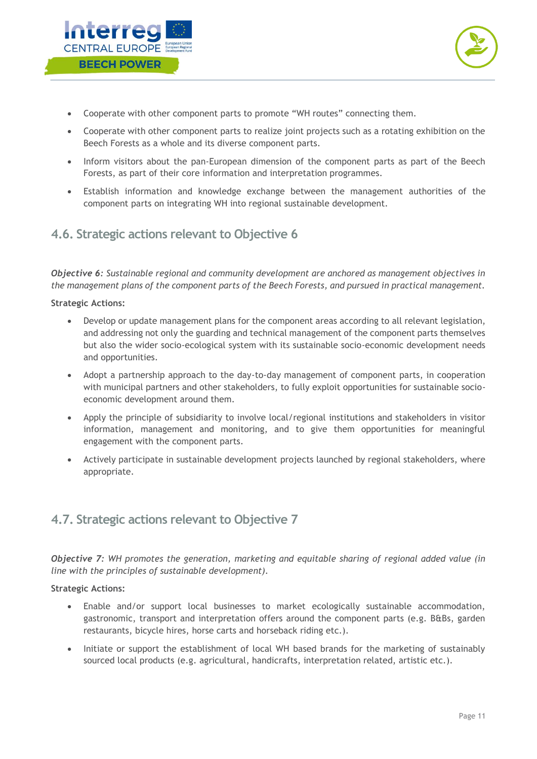



- Cooperate with other component parts to promote "WH routes" connecting them.
- Cooperate with other component parts to realize joint projects such as a rotating exhibition on the Beech Forests as a whole and its diverse component parts.
- Inform visitors about the pan-European dimension of the component parts as part of the Beech Forests, as part of their core information and interpretation programmes.
- Establish information and knowledge exchange between the management authorities of the component parts on integrating WH into regional sustainable development.

### <span id="page-11-0"></span>**4.6. Strategic actions relevant to Objective 6**

*Objective 6: Sustainable regional and community development are anchored as management objectives in the management plans of the component parts of the Beech Forests, and pursued in practical management.*

#### **Strategic Actions:**

- Develop or update management plans for the component areas according to all relevant legislation, and addressing not only the guarding and technical management of the component parts themselves but also the wider socio-ecological system with its sustainable socio-economic development needs and opportunities.
- Adopt a partnership approach to the day-to-day management of component parts, in cooperation with municipal partners and other stakeholders, to fully exploit opportunities for sustainable socioeconomic development around them.
- Apply the principle of subsidiarity to involve local/regional institutions and stakeholders in visitor information, management and monitoring, and to give them opportunities for meaningful engagement with the component parts.
- Actively participate in sustainable development projects launched by regional stakeholders, where appropriate.

## <span id="page-11-1"></span>**4.7. Strategic actions relevant to Objective 7**

*Objective 7: WH promotes the generation, marketing and equitable sharing of regional added value (in line with the principles of sustainable development).*

- Enable and/or support local businesses to market ecologically sustainable accommodation, gastronomic, transport and interpretation offers around the component parts (e.g. B&Bs, garden restaurants, bicycle hires, horse carts and horseback riding etc.).
- Initiate or support the establishment of local WH based brands for the marketing of sustainably sourced local products (e.g. agricultural, handicrafts, interpretation related, artistic etc.).